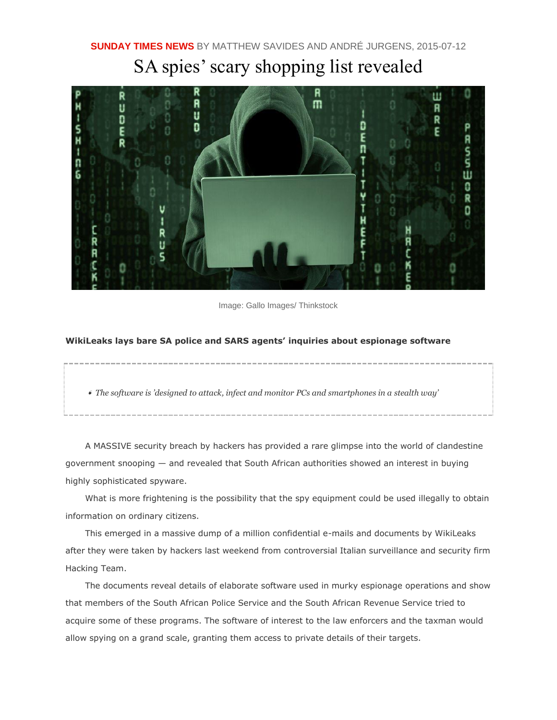## SA spies' scary shopping list revealed



Image: Gallo Images/ Thinkstock

## **WikiLeaks lays bare SA police and SARS agents' inquiries about espionage software**

❛ *The software is 'designed to attack, infect and monitor PCs and smartphones in a stealth way'*

A MASSIVE security breach by hackers has provided a rare glimpse into the world of clandestine government snooping — and revealed that South African authorities showed an interest in buying highly sophisticated spyware.

What is more frightening is the possibility that the spy equipment could be used illegally to obtain information on ordinary citizens.

This emerged in a massive dump of a million confidential e-mails and documents by WikiLeaks after they were taken by hackers last weekend from controversial Italian surveillance and security firm Hacking Team.

The documents reveal details of elaborate software used in murky espionage operations and show that members of the South African Police Service and the South African Revenue Service tried to acquire some of these programs. The software of interest to the law enforcers and the taxman would allow spying on a grand scale, granting them access to private details of their targets.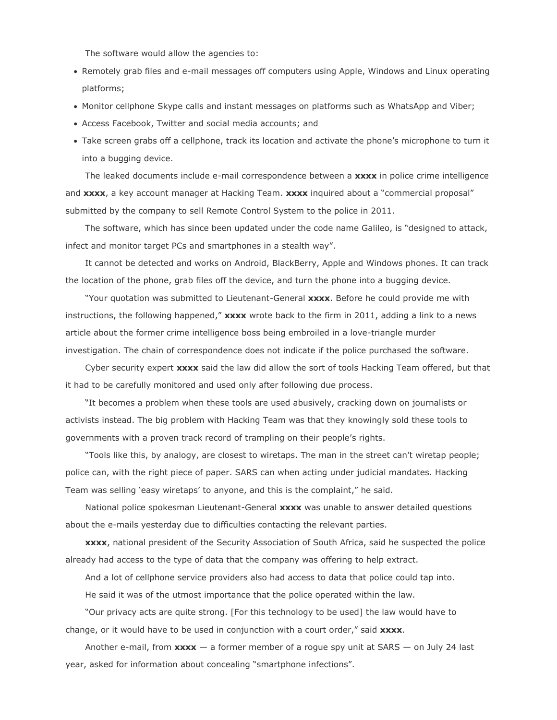The software would allow the agencies to:

- Remotely grab files and e-mail messages off computers using Apple, Windows and Linux operating platforms;
- Monitor cellphone Skype calls and instant messages on platforms such as WhatsApp and Viber;
- Access Facebook, Twitter and social media accounts; and
- Take screen grabs off a cellphone, track its location and activate the phone's microphone to turn it into a bugging device.

The leaked documents include e-mail correspondence between a **xxxx** in police crime intelligence and **xxxx**, a key account manager at Hacking Team. **xxxx** inquired about a "commercial proposal" submitted by the company to sell Remote Control System to the police in 2011.

The software, which has since been updated under the code name Galileo, is "designed to attack, infect and monitor target PCs and smartphones in a stealth way".

It cannot be detected and works on Android, BlackBerry, Apple and Windows phones. It can track the location of the phone, grab files off the device, and turn the phone into a bugging device.

"Your quotation was submitted to Lieutenant-General **xxxx**. Before he could provide me with instructions, the following happened," **xxxx** wrote back to the firm in 2011, adding a link to a news article about the former crime intelligence boss being embroiled in a love-triangle murder investigation. The chain of correspondence does not indicate if the police purchased the software.

Cyber security expert **xxxx** said the law did allow the sort of tools Hacking Team offered, but that it had to be carefully monitored and used only after following due process.

"It becomes a problem when these tools are used abusively, cracking down on journalists or activists instead. The big problem with Hacking Team was that they knowingly sold these tools to governments with a proven track record of trampling on their people's rights.

"Tools like this, by analogy, are closest to wiretaps. The man in the street can't wiretap people; police can, with the right piece of paper. SARS can when acting under judicial mandates. Hacking Team was selling 'easy wiretaps' to anyone, and this is the complaint," he said.

National police spokesman Lieutenant-General **xxxx** was unable to answer detailed questions about the e-mails yesterday due to difficulties contacting the relevant parties.

**xxxx**, national president of the Security Association of South Africa, said he suspected the police already had access to the type of data that the company was offering to help extract.

And a lot of cellphone service providers also had access to data that police could tap into.

He said it was of the utmost importance that the police operated within the law.

"Our privacy acts are quite strong. [For this technology to be used] the law would have to change, or it would have to be used in conjunction with a court order," said **xxxx**.

Another e-mail, from **xxxx** — a former member of a rogue spy unit at SARS — on July 24 last year, asked for information about concealing "smartphone infections".